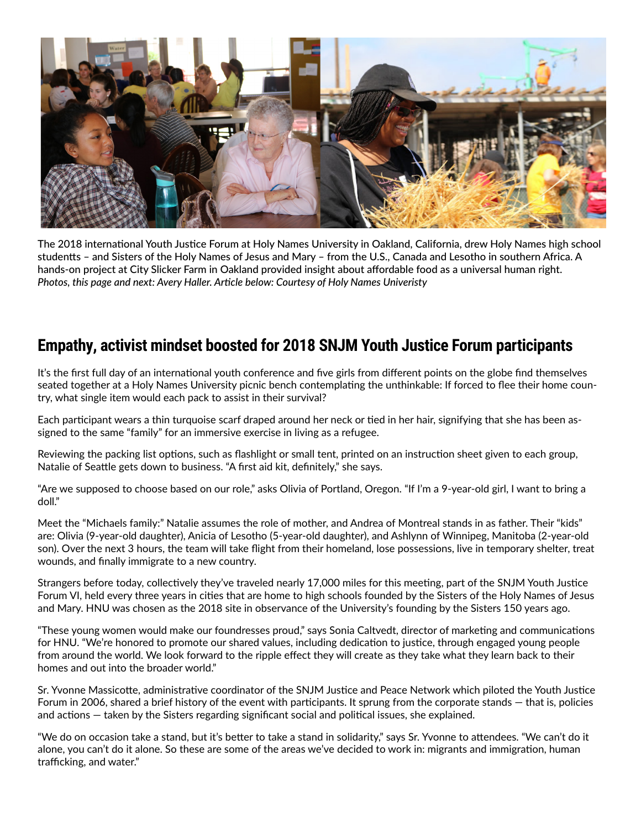

The 2018 international Youth Justice Forum at Holy Names University in Oakland, California, drew Holy Names high school studentts – and Sisters of the Holy Names of Jesus and Mary – from the U.S., Canada and Lesotho in southern Africa. A hands-on project at City Slicker Farm in Oakland provided insight about affordable food as a universal human right. *Photos, this page and next: Avery Haller. Article below: Courtesy of Holy Names Univeristy*

## **Empathy, activist mindset boosted for 2018 SNJM Youth Justice Forum participants**

It's the first full day of an international youth conference and five girls from different points on the globe find themselves seated together at a Holy Names University picnic bench contemplating the unthinkable: If forced to flee their home country, what single item would each pack to assist in their survival?

Each participant wears a thin turquoise scarf draped around her neck or tied in her hair, signifying that she has been assigned to the same "family" for an immersive exercise in living as a refugee.

Reviewing the packing list options, such as flashlight or small tent, printed on an instruction sheet given to each group, Natalie of Seattle gets down to business. "A first aid kit, definitely," she says.

"Are we supposed to choose based on our role," asks Olivia of Portland, Oregon. "If I'm a 9-year-old girl, I want to bring a doll."

Meet the "Michaels family:" Natalie assumes the role of mother, and Andrea of Montreal stands in as father. Their "kids" are: Olivia (9-year-old daughter), Anicia of Lesotho (5-year-old daughter), and Ashlynn of Winnipeg, Manitoba (2-year-old son). Over the next 3 hours, the team will take flight from their homeland, lose possessions, live in temporary shelter, treat wounds, and finally immigrate to a new country.

Strangers before today, collectively they've traveled nearly 17,000 miles for this meeting, part of the SNJM Youth Justice Forum VI, held every three years in cities that are home to high schools founded by the Sisters of the Holy Names of Jesus and Mary. HNU was chosen as the 2018 site in observance of the University's founding by the Sisters 150 years ago.

"These young women would make our foundresses proud," says Sonia Caltvedt, director of marketing and communications for HNU. "We're honored to promote our shared values, including dedication to justice, through engaged young people from around the world. We look forward to the ripple effect they will create as they take what they learn back to their homes and out into the broader world."

Sr. Yvonne Massicotte, administrative coordinator of the SNJM Justice and Peace Network which piloted the Youth Justice Forum in 2006, shared a brief history of the event with participants. It sprung from the corporate stands — that is, policies and actions — taken by the Sisters regarding significant social and political issues, she explained.

"We do on occasion take a stand, but it's better to take a stand in solidarity," says Sr. Yvonne to attendees. "We can't do it alone, you can't do it alone. So these are some of the areas we've decided to work in: migrants and immigration, human trafficking, and water."